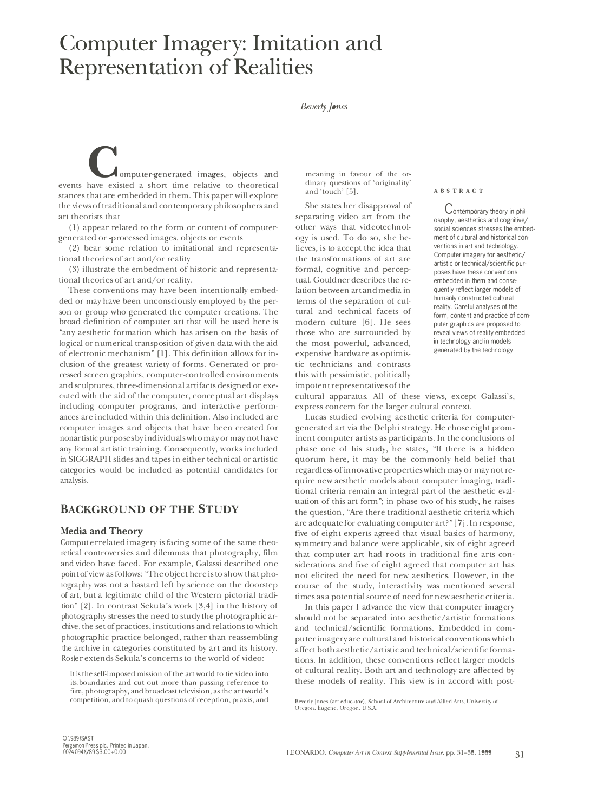# **Computer Imagery: Imitation and Representation of Realities**

*Beverly Jones* 

 $\blacktriangle$  omputer-generated images, objects and events have existed a short time relative to theoretical stances that are embedded in them. This paper will explore the views of traditional and contemporary philosophers and art theorists that

(1) appear related to the form or content of computergenerated or -processed images, objects or events

(2) bear some relation to imitational and representational theories of art and/or reality

(3) illustrate the embedment of historic and representational theories of art and/or reality.

These conventions may have been intentionally embedded or may have been unconsciously employed by the person or group who generated the computer creations. The broad definition of computer art that will be used here is "any aesthetic formation which has arisen on the basis of logical or numerical transposition of given data with the aid of electronic mechanism" [l]. This definition allows for inclusion of the greatest variety of forms. Generated or processed screen graphics, computer-controlled environments and sculptures, three-dimensional artifacts designed or executed with the aid of the computer, conceptual art displays including computer programs, and interactive performances are included within this definition. Also included are computer images and objects that have been created for nonartistic purposes by individuals who may or may not have any formal artistic training. Consequently, works included in SIGGRAPH slides and tapes in either technical or artistic categories would be included as potential candidates for analysis.

# **BACKGROUND OF THE STUDY**

#### **Media and Theory**

Computerrelated imagery is facing some of the same theoretical controversies and dilemmas that photography, film and video have faced. For example, Galassi described one point of view as follows: "The object here is to show that photography was not a bastard left by science on the doorstep of art, but a legitimate child of the Western pictorial tradition" [2]. In contrast Sekula's work (3,4] in the history of photography stresses the need to study the photographic archive, the set of practices, institutions and relations to which photographic practice belonged, rather than reassembling the archive in categories constituted by art and its history. Rosier extends Sekula's concerns to the world of video:

It is the self-imposed mission of the art world to tie video into its. boundaries and cut out more than passing reference to film, photography, and broadcast television, as the artworld's competition, and to quash questions of reception, praxis, and meaning in favour of the ordinary questions of 'originality' and 'touch' [5]. **ABSTRACT** 

She states her disapproval of separating video art from the other ways that videotechnology is used. To do so, she believes, is to accept the idea that the transformations of art are formal, cognitive and perceptual. Gouldner describes the relation between art and media in terms of the separation of cultural and technical facets of modern culture [6]. He sees those who are surrounded by the most powerful, advanced, expensive hardware as optimistic technicians and contrasts this with pessimistic, politically impotent representatives of the

Contemporary theory in philosophy, aesthetics and cognitive/ social sciences stresses the embedment of cultural and historical conventions in art and technology. Computer imagery for aesthetic/ artistic or technical/scientific purposes have these conventions embedded in them and consequently reflect larger models of humanly constructed cultural reality. Careful analyses of the form, content and practice of computer graphics are proposed to reveal views of reality embedded in technology and in models generated by the technology.

cultural apparatus. All of these views, except Galassi's, express concern for the larger cultural context.

Lucas studied evolving aesthetic criteria for computergenerated art via the Delphi strategy. He chose eight prominent computer artists as participants. In the conclusions of phase one of his study, he states, "If there is a hidden quorum here, it may be the commonly held belief that regardless of innovative properties which may or may not require new aesthetic models about computer imaging, traditional criteria remain an integral part of the aesthetic evaluation of this art form"; in phase two of his study, he raises the question, "Are there traditional aesthetic criteria which are adequate for evaluating computer art?" [7]. In response, five of eight experts agreed that visual basics of harmony, symmetry and balance were applicable, six of eight agreed that computer art had roots in traditional fine arts considerations and five of eight agreed that computer art has not elicited the need for new aesthetics. However, in the course of the study, interactivity was mentioned several times as a potential source of need for new aesthetic criteria.

In this paper I advance the view that computer imagery should not be separated into aesthetic/artistic formations and technical/scientific formations. Embedded in computer imagery are cultural and historical conventions which affect both aesthetic/artistic and technical/scientific formations. In addition, these conventions reflect larger models of cultural reality. Both art and technology are affected by these models of reality. This view is in accord with post-

Beverly Jones (art educator), School of Architecture and Allied Arts, University of **Oregon, Eugene, Oregon, U.S.A.**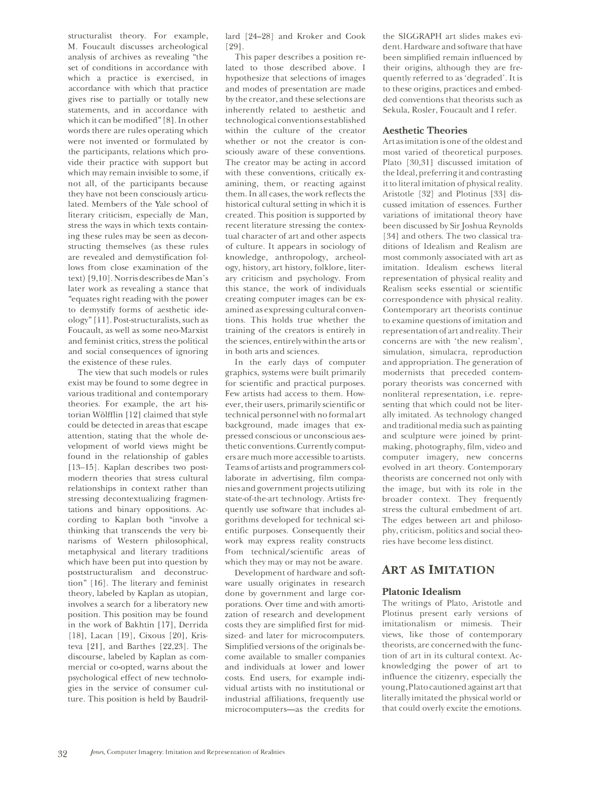structuralist theory. For example, M. Foucault discusses archeological analysis of archives as revealing "the set of conditions in accordance with which a practice is exercised, in accordance with which that practice gives rise to partially or totally new statements, and in accordance with which it can be modified" [SJ. In other words there are rules operating which were not invented or formulated by the participants, relations which provide their practice with support but which may remain invisible to some, if not all, of the participants because they have not been consciously articulated. Members of the Yale school of literary criticism, especially de Man, stress the ways in which texts containing these rules may be seen as deconstructing themselves (as these rules are revealed and demystification follows from close examination of the text) (9,10]. Norris describes de Man's later work as revealing a stance that "equates right reading with the power to demystify forms of aesthetic ideology" [ 11 J. Post-structuralists, such as Foucault, as well as some neo-Marxist and feminist critics, stress the political and social consequences of ignoring the existence of these rules.

The view that such models or rules exist may be found to some degree in various traditional and contemporary theories. For example, the art historian Wolfflin (12] claimed that style could be detected in areas that escape attention, stating that the whole development of world views might be found in the relationship of gables (13-15]. Kaplan describes two postmodern theories that stress cultural relationships in context rather than stressing decontextualizing fragmentations and binary oppositions. According to Kaplan both "involve a thinking that transcends the very binarisms of Western philosophical, metaphysical and literary traditions which have been put into question by poststructuralism and deconstruction" (16]. The literary and feminist theory, labeled by Kaplan as utopian, involves a search for a liberatory new position. This position may be found in the work of Bakhtin (17], Derrida (18], Lacan (19], Cixous [20], Kristeva (21], and Barthes [22,23]. The discourse, labeled by Kaplan as commercial or co-opted, warns about the psychological effect of new technologies in the service of consumer culture. This position is held by Baudrillard [24-28] and Kroker and Cook [29].

This paper describes a position related to those described above. I hypothesize that selections of images and modes of presentation are made by the creator, and these selections are inherently related to aesthetic and technological conventions established within the culture of the creator whether or not the creator is consciously aware of these conventions. The creator may be acting in accord with these conventions, critically examining, them, or reacting against them. In all cases, the work reflects the historical cultural setting in which it is created. This position is supported by recent literature stressing the contextual character of art and other aspects of culture. It appears in sociology of knowledge, anthropology, archeology, history, art history, folklore, literary criticism and psychology. From this stance, the work of individuals creating computer images can be examined as expressing cultural conventions. This holds true whether the training of the creators is entirely in the sciences, entirely within the arts or in both arts and sciences.

In the early days of computer graphics, systems were built primarily for scientific and practical purposes. Few artists had access to them. However, their users, primarily scientific or technical personnel with no formal art background, made images that expressed conscious or unconscious aesthetic conventions. Currently computers are much more accessible to artists. Teams of artists and programmers collaborate in advertising, film companies and government projects utilizing state-of-the-art technology. Artists frequently use software that includes algorithms developed for technical scientific purposes. Consequently their work may express reality constructs from technical/scientific areas of which they may or may not be aware.

Development of hardware and software usually originates in research done by government and large corporations. Over time and with amortization of research and development costs they are simplified first for midsized- and later for microcomputers. Simplified versions of the originals become available to smaller companies and individuals at lower and lower costs. End users, for example individual artists with no institutional or industrial affiliations, frequently use microcomputers-as the credits for

the SIGGRAPH art slides makes evident. Hardware and software that have been simplified remain influenced by their origins, although they are frequently referred to as 'degraded'. It is to these origins, practices and embedded conventions that theorists such as Sekula, Rosier, Foucault and I refer.

#### **Aesthetic Theories**

Art as imitation is one of the oldest and most varied of theoretical purposes. Plato [30,31] discussed imitation of the Ideal, preferring it and contrasting it to literal imitation of physical reality. Aristotle [32] and Plotinus (33] discussed imitation of essences. Further variations of imitational theory have been discussed by Sir Joshua Reynolds (34] and others. The two classical traditions of Idealism and Realism are most commonly associated with art as imitation. Idealism eschews literal representation of physical reality and Realism seeks essential or scientific correspondence with physical reality. Contemporary art theorists continue to examine questions of imitation and representation of art and reality. Their concerns are with 'the new realism', simulation, simulacra, reproduction and appropriation. The generation of modernists that preceded contemporary theorists was concerned with nonliteral representation, i.e. representing that which could not be literally imitated. As technology changed and traditional media such as painting and sculpture were joined by printmaking, photography, film, video and computer imagery, new concerns evolved in art theory. Contemporary theorists are concerned not only with the image, but with its role in the broader context. They frequently stress the cultural embedment of art. The edges between art and philosophy, criticism, politics and social theories have become less distinct.

## **ART AS IMITATION**

#### **Platonic Idealism**

The writings of Plato, Aristotle and Plotinus present early versions of imitationalism or mimesis. Their views, like those of contemporary theorists, are concerned with the function of art in its cultural context. Acknowledging the power of art to influence the citizenry, especially the young, Plato cautioned against art that literally imitated the physical world or that could overly excite the emotions.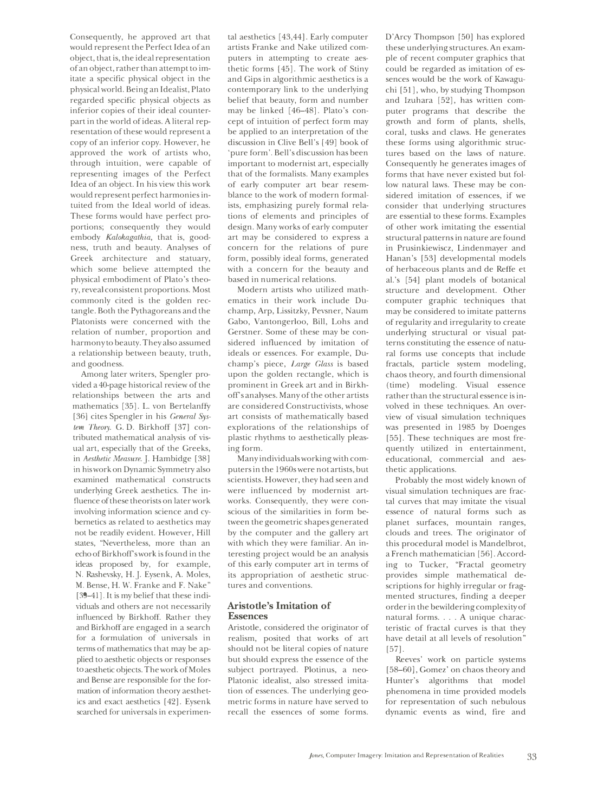Consequently, he approved art that would represent the Perfect Idea of an object, that is, the ideal representation of an object, rather than attempt to imitate a specific physical object in the physical world. Being an Idealist, Plato regarded specific physical objects as inferior copies of their ideal counterpart in the world of ideas. A literal representation of these would represent a copy of an inferior copy. However, he approved the work of artists who, through intuition, were capable of representing images of the Perfect Idea of an object. In his view this work would represent perfect harmonies intuited from the Ideal world of ideas. These forms would have perfect proportions; consequently they would embody *Kalokagathia,* that is, goodness, truth and beauty. Analyses of Greek architecture and statuary, which some believe attempted the physical embodiment of Plato's theory, reveal consistent proportions. Most commonly cited is the golden rectangle. Both the Pythagoreans and the Platonists were concerned with the relation of number, proportion and harmony to beauty. They also assumed a relationship between beauty, truth, and goodness.

Among later writers, Spengler provided a 40-page historical review of the relationships between the arts and mathematics [35]. L. von Bertelanffy [36] cites Spengler in his *General System Theory.* G.D. Birkhoff [37] contributed mathematical analysis of visual art, especially that of the Greeks, in *Aesthetic Measure.].* Hambidge [38] in his work on Dynamic Symmetry also examined mathematical constructs underlying Greek aesthetics. The influence of these theorists on later work involving information science and cybernetics as related to aesthetics may not be readily evident. However, Hill states, "Nevertheless, more than an echo of Birkhoff's work is found in the ideas proposed by, for example, N. Rashevsky, H.J. Eysenk, A. Moles, M. Bense, H. W. Franke and F. Nake" [39-41]. It is my belief that these individuals and others are not necessarily influenced by Birkhoff. Rather they and Birkhoff are engaged in a search for a formulation of universals in terms of mathematics that may be applied to aesthetic objects or responses to aesthetic objects. The work of Moles and Bense are responsible for the formation of information theory aesthetics and exact aesthetics [ 42]. Eysenk searched for universals in experimental aesthetics [ 43,44]. Early computer artists Franke and Nake utilized computers in attempting to create aesthetic forms [ 45]. The work of Stiny and Gips in algorithmic aesthetics is a contemporary link to the underlying belief that beauty, form and number may be linked [ 46-48]. Plato's concept of intuition of perfect form may be applied to an interpretation of the discussion in Clive Bell's [ 49] book of 'pure form'. Bell's discussion has been important to modernist art, especially that of the formalists. Many examples of early computer art bear resemblance to the work of modern formalists, emphasizing purely formal relations of elements and principles of design. Many works of early computer art may be considered to express a concern for the relations of pure form, possibly ideal forms, generated with a concern for the beauty and based in numerical relations.

Modern artists who utilized mathematics in their work include Duchamp, Arp, Lissitzky, Pevsner, Naum Gabo, Vantongerloo, Bill, Lohs and Gerstner. Some of these may be considered influenced by imitation of ideals or essences. For example, Duchamp's piece, *Large Glass* is based upon the golden rectangle, which is prominent in Greek art and in Birkhoffs analyses. Many of the other artists are considered Constructivists, whose art consists of mathematically based explorations of the relationships of plastic rhythms to aesthetically pleasing form.

Many individuals working with computers in the 1960s were not artists, but scientists. However, they had seen and were influenced by modernist artworks. Consequently, they were conscious of the similarities in form between the geometric shapes generated by the computer and the gallery art with which they were familiar. An interesting project would be an analysis of this early computer art in terms of its appropriation of aesthetic structures and conventions.

### **Aristotle's Imitation of Essences**

Aristotle, considered the originator of realism, posited that works of art should not be literal copies of nature but should express the essence of the subject portrayed. Plotinus, a neo-Platonic idealist, also stressed imitation of essences. The underlying geometric forms in nature have served to recall the essences of some forms.

D'Arcy Thompson [50] has explored these underlying structures. An example of recent computer graphics that could be regarded as imitation of essences would be the work of Kawaguchi [51], who, by studying Thompson and lzuhara [52], has written computer programs that describe the growth and form of plants, shells, coral, tusks and claws. He generates these forms using algorithmic structures based on the laws of nature. Consequently he generates images of forms that have never existed but follow natural laws. These may be considered imitation of essences, if we consider that underlying structures are essential to these forms. Examples of other work imitating the essential structural patterns in nature are found in Prusinkiewiscz, Lindenmayer and Hanan's [53] developmental models of herbaceous plants and de Reffe et al.'s [54] plant models of botanical structure and development. Other computer graphic techniques that may be considered to imitate patterns of regularity and irregularity to create underlying structural or visual patterns constituting the essence of natural forms use concepts that include fractals, particle system modeling, chaos theory, and fourth dimensional (time) modeling. Visual essence rather than the structural essence is involved in these techniques. An overview of visual simulation techniques was presented in 1985 by Doenges [55]. These techniques are most frequently utilized in entertainment, educational, commercial and aesthetic applications.

Probably the most widely known of visual simulation techniques are fractal curves that may imitate the visual essence of natural forms such as planet surfaces, mountain ranges, clouds and trees. The originator of this procedural model is Mandelbrot, a French mathematician [56]. According to Tucker, "Fractal geometry provides simple mathematical descriptions for highly irregular or fragmented structures, finding a deeper order in the bewildering complexity of natural forms. . . . A unique characteristic of fractal curves is that they have detail at all levels of resolution" [57].

Reeves' work on particle systems [58-60], Gomez' on chaos theory and Hunter's algorithms that model phenomena in time provided models for representation of such nebulous dynamic events as wind, fire and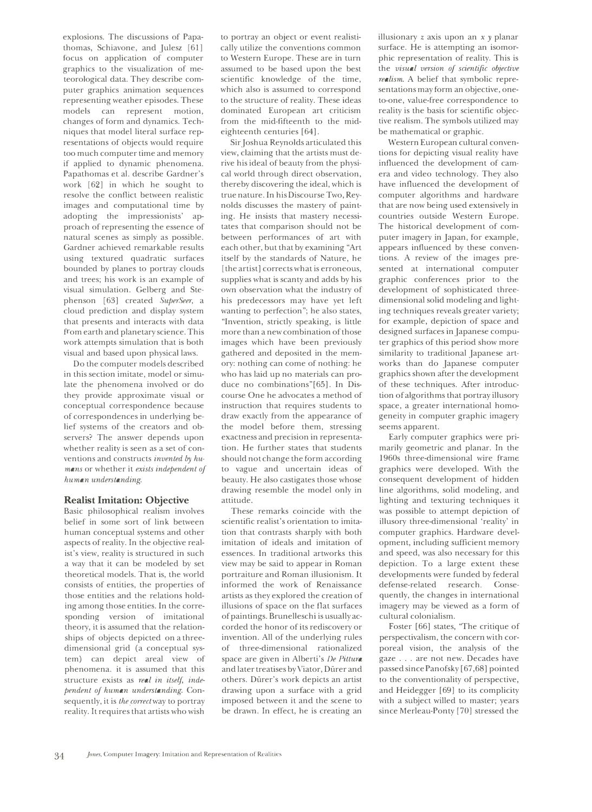explosions. The discussions of Papathomas, Schiavone, and Julesz (61] focus on application of computer graphics to the visualization of meteorological data. They describe computer graphics animation sequences representing weather episodes. These models can represent motion, changes of form and dynamics. Techniques that model literal surface representations of objects would require too much computer time and memory if applied to dynamic phenomena. Papathomas et al. describe Gardner's work (62] in which he sought to resolve the conflict between realistic images and computational time by adopting the impressionists' approach of representing the essence of natural scenes as simply as possible. Gardner achieved remarkable results using textured quadratic surfaces bounded by planes to portray clouds and trees; his work is an example of visual simulation. Gelberg and Stephenson (63] created *SuperSeer,* a cloud prediction and display system that presents and interacts with data from earth and planetary science. This work attempts simulation that is both visual and based upon physical laws.

Do the computer models described in this section imitate, model or simulate the phenomena involved or do they provide approximate visual or conceptual correspondence because of correspondences in underlying belief systems of the creators and observers? The answer depends upon whether reality is seen as a set of conventions and constructs *invented* by *humans* or whether it *exists independent of human understanding.* 

#### **Realist Imitation: Objective**

Basic philosophical realism involves belief in some sort of link between human conceptual systems and other aspects of reality. In the objective realist's view, reality is structured in such a way that it can be modeled by set theoretical models. That is, the world consists of entities, the properties of those entities and the relations holding among those entities. In the corresponding version of imitational theory, it is assumed that the relationships of objects depicted on a threedimensional grid (a conceptual system) can depict areal view of phenomena. it is assumed that this structure exists as *real in itself, independent of human understanding.* Consequently, it is *the correct* way to portray reality. It requires that artists who wish

to portray an object or event realistically utilize the conventions common to Western Europe. These are in turn assumed to be based upon the best scientific knowledge of the time, which also is assumed to correspond to the structure of reality. These ideas dominated European art criticism from the mid-fifteenth to the mideighteenth centuries (64].

Sir Joshua Reynolds articulated this view, claiming that the artists must derive his ideal of beauty from the physical world through direct observation, thereby discovering the ideal, which is true nature. In his Discourse Two, Reynolds discusses the mastery of painting. He insists that mastery necessitates that comparison should not be between performances of art with each other, but that by examining "Art itself by the standards of Nature, he [ the artist] corrects what is erroneous, supplies what is scanty and adds by his own observation what the industry of his predecessors may have yet left wanting to perfection"; he also states, "Invention, strictly speaking, is little more than a new combination of those images which have been previously gathered and deposited in the memory: nothing can come of nothing: he who has laid up no materials can produce no combinations"[65]. In Discourse One he advocates a method of instruction that requires students to draw exactly from the appearance of the model before them, stressing exactness and precision in representation. He further states that students should not change the form according to vague and uncertain ideas of beauty. He also castigates those whose drawing resemble the model only in attitude.

These remarks coincide with the scientific realist's orientation to imitation that contrasts sharply with both imitation of ideals and imitation of essences. In traditional artworks this view may be said to appear in Roman portraiture and Roman illusionism. It informed the work of Renaissance artists as they explored the creation of illusions of space on the flat surfaces of paintings. Brunelleschi is usually accorded the honor of its rediscovery or invention. All of the underlying rules of three-dimensional rationalized space are given in Alberti's *De Pittura*  and later treatises by Viator, Durer and others. Durer's work depicts an artist drawing upon a surface with a grid imposed between it and the scene to be drawn. In effect, he is creating an

illusionary z axis upon an x *y* planar surface. He is attempting an isomorphic representation of reality. This is the *visual version of scientific objective realism.* A belief that symbolic representations may form an objective, oneto-one, value-free correspondence to reality is the basis for scientific objective realism. The symbols utilized may be mathematical or graphic.

Western European cultural conventions for depicting visual reality have influenced the development of camera and video technology. They also have influenced the development of computer algorithms and hardware that are now being used extensively in countries outside Western Europe. The historical development of computer imagery in Japan, for example, appears influenced by these conventions. A review of the images presented at international computer graphic conferences prior to the development of sophisticated threedimensional solid modeling and lighting techniques reveals greater variety; for example, depiction of space and designed surfaces in Japanese computer graphics of this period show more similarity to traditional Japanese artworks than do Japanese computer graphics shown after the development of these techniques. After introduction of algorithms that portray illusory space, a greater international homogeneity in computer graphic imagery seems apparent.

Early computer graphics were primarily geometric and planar. In the 1960s three-dimensional wire frame graphics were developed. With the consequent development of hidden line algorithms, solid modeling, and lighting and texturing techniques it was possible to attempt depiction of illusory three-dimensional 'reality' in computer graphics. Hardware development, including sufficient memory and speed, was also necessary for this depiction. To a large extent these developments were funded by federal defense-related research. Consequently, the changes in international imagery may be viewed as a form of cultural colonialism.

Foster (66] states, "The critique of perspectivalism, the concern with corporeal vision, the analysis of the gaze ... are not new. Decades have passed since Panofsky (67,68] pointed to the conventionality of perspective, and Heidegger (69] to its complicity with a subject willed to master; years since Merleau-Ponty (70] stressed the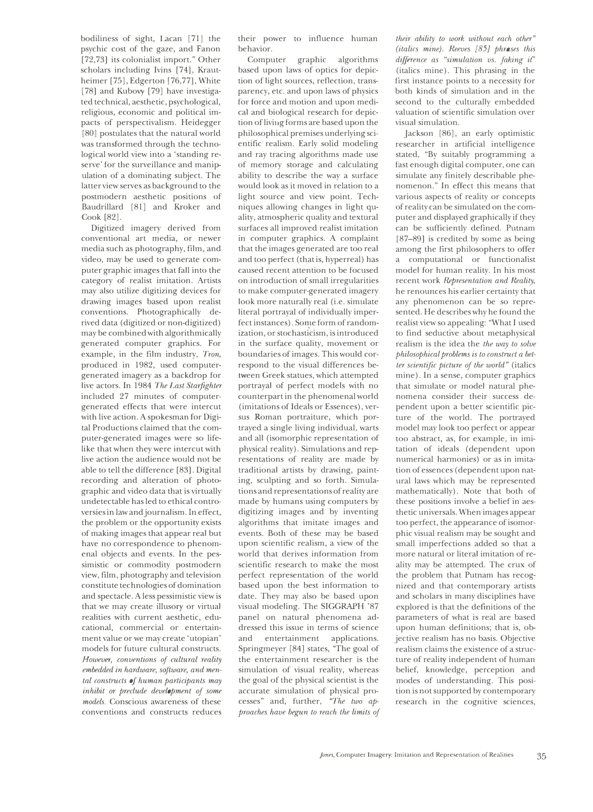bodiliness of sight, Lacan [71] the psychic cost of the gaze, and Fanon [72,73) its colonialist import." Other scholars including Ivins [74], Krautheimer [75], Edgerton [76,77], White [78) and Kubovy [79) have investigated technical, aesthetic, psychological, religious, economic and political impacts of perspectivalism. Heidegger [80) postulates that the natural world was transformed through the technological world view into a 'standing reserve' for the surveillance and manipulation of a dominating subject. The latter view serves as background to the postmodern aesthetic positions of Baudrillard [81) and Kroker and Cook [82).

Digitized imagery derived from conventional art media, or newer media such as photography, film, and video, may be used to generate computer graphic images that fall into the category of realist imitation. Artists may also utilize digitizing devices for drawing images based upon realist conventions. Photographically derived data (digitized or non-digitized) may be combined with algorithmically generated computer graphics. For example, in the film industry, *Tron,*  produced in 1982, used computergenerated imagery as a backdrop for live actors. In 1984 *The Last Starfighter*  included 27 minutes of computergenerated effects that were intercut with live action. A spokesman for Digital Productions claimed that the computer-generated images were so lifelike that when they were intercut with live action the audience would not be able to tell the difference [83). Digital recording and alteration of photographic and video data that is virtually undetectable has led to ethical controversies in law and journalism. In effect, the problem or the opportunity exists of making images that appear real but have no correspondence to phenomenal objects and events. In the pessimistic or commodity postmodern view, film, photography and television constitute technologies of domination and spectacle. A less pessimistic view is that we may create illusory or virtual realities with current aesthetic, educational, commercial or entertainment value or we may create 'utopian' models for future cultural constructs. *However, conventions of cultural reality embedded in hardware, software, and mental constructs of human participants may inhibit or preclude development of some models.* Conscious awareness of these conventions and constructs reduces their power to influence human behavior.

Computer graphic algorithms based upon laws of optics for depiction of light sources, reflection, transparency, etc. and upon laws of physics for force and motion and upon medical and biological research for depiction of liviug forms are based upon the philosophical premises underlying scientific realism. Early solid modeling and ray tracing algorithms made use of memory storage and calculating ability to describe the way a surface would look as it moved in relation to a light source and view point. Techniques allowing changes in light quality, atmospheric quality and textural surfaces all improved realist imitation in computer graphics. A complaint that the images generated are too real and too perfect ( that is, hyperreal) has caused recent attention to be focused on introduction of small irregularities to make computer-generated imagery look more naturally real (i.e. simulate literal portrayal of individually imperfect instances). Some form of randomization, or stochasticism, is introduced in the surface quality, movement or boundaries of images. This would correspond to the visual differences between Greek statues, which attempted portrayal of perfect models with no counterpart in the phenomenal world (imitations of Ideals or Essences), versus Roman portraiture, which portrayed a single living individual, warts and all (isomorphic representation of physical reality). Simulations and representations of reality are made by traditional artists by drawing, painting, sculpting and so forth. Simulations and representations of reality are made by humans using computers by digitizing images and by inventing algorithms that imitate images and events. Both of these may be based upon scientific realism, a view of the world that derives information from scientific research to make the most perfect representation of the world based upon the best information to date. They may also be based upon visual modeling. The **SIGGRAPH** '87 panel on natural phenomena addressed this issue in terms of science and entertainment applications. Springmeyer [84) states, "The goal of the entertainment researcher is the simulation of visual reality, whereas the goal of the physical scientist is the accurate simulation of physical processes" and, further, *"The two approaches have begun to reach the limits of* 

*their ability lo work without each other" (italics mine). Reeves [85) phrases this difference as "simulation vs. faking it"*  (italics mine). This phrasing in the first instance points to a necessity for both kinds of simulation and in the second to the culturally embedded valuation of scientific simulation over visual simulation.

Jackson [86], an early optimistic researcher in artificial intelligence stated, "By suitably programming a fast enough digital computer, one can simulate any finitely describable phenomenon." In effect this means that various aspects of reality or concepts of reality can be simulated on the computer and displayed graphically if they can be sufficiently defined. Putnam [87-89) is credited by some as being among the first philosophers to offer a computational or functionalist model for human reality. In his most recent work *Representation and Reality,*  he renounces his earlier certainty that any phenomenon can be so represented. He describes why he found the realist view so appealing: ''What I used to find seductive about metaphysical realism is the idea the *the way to solve philosophical problems is to construct a better scientific picture of the world"* (italics mine). In a sense, computer graphics that simulate or model natural phenomena consider their success dependent upon a better scientific picture of the world. The portrayed model may look too perfect or appear too abstract, as, for example, in imitation of ideals (dependent upon numerical harmonies) or as in imitation of essences ( dependent upon natural laws which may be represented mathematically). Note that both of these positions involve a belief in aesthetic universals. When images appear too perfect, the appearance of isomorphic visual realism may be sought and small imperfections added so that a more natural or literal imitation of reality may be attempted. The crux of the problem that Putnam has recognized and that contemporary artists and scholars in many disciplines have explored is that the definitions of the parameters of what is real are based upon human definitions; that is, objective realism has no basis. Objective realism claims the existence of a structure of reality independent of human belief, knowledge, perception and modes of understanding. This position is not supported by contemporary research in the cognitive sciences,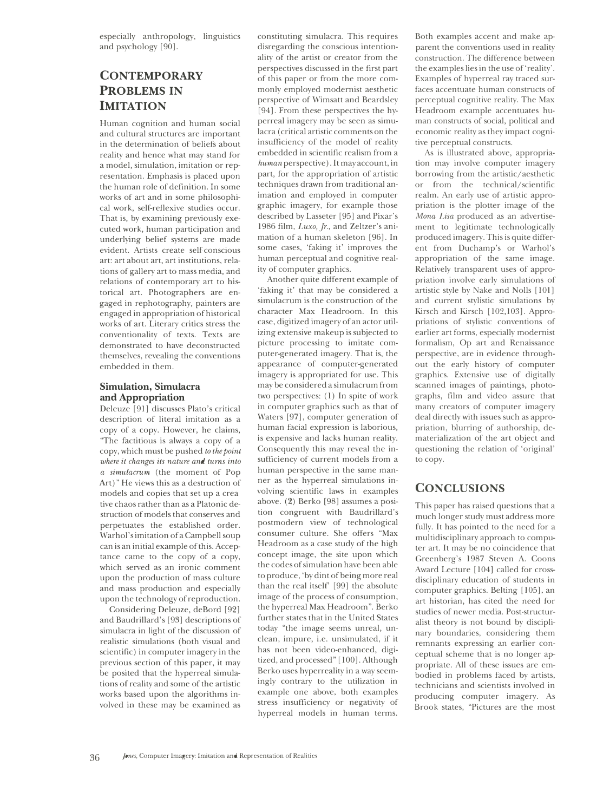especially anthropology, linguistics and psychology (90].

# **CONTEMPORARY PROBLEMS IN IMITATION**

Human cognition and human social and cultural structures are important in the determination of beliefs about reality and hence what may stand for a model, simulation, imitation or representation. Emphasis is placed upon the human role of definition. In some works of art and in some philosophical work, self-reflexive studies occur. That is, by examining previously executed work, human participation and underlying belief systems are made evident. Artists create self conscious art: art about art, art institutions, relations of gallery art to mass media, and relations of contemporary art to historical art. Photographers are engaged in rephotography, painters are engaged in appropriation of historical works of art. Literary critics stress the conventionality of texts. Texts are demonstrated to have deconstructed themselves, revealing the conventions embedded in them.

### **Simulation, Simulacra and Appropriation**

Deleuze [91] discusses Plato's critical description of literal imitation as a copy of a copy. However, he claims, "The factitious is always a copy of a copy, which must be pushed *to the point where it changes its nature and turns into a simulacrum* ( the moment of Pop Art)" He views this as a destruction of models and copies that set up a crea tive chaos rather than as a Platonic destruction of models that conserves and perpetuates the established order. Warhol's imitation of a Campbell soup can is an initial example of this. Acceptance came to the copy of a copy, which served as an ironic comment upon the production of mass culture and mass production and especially upon the technology of reproduction.

Considering Deleuze, deBord (92] and Baudrillard's (93] descriptions of simulacra in light of the discussion of realistic simulations (both visual and scientific) in computer imagery in the previous section of this paper, it may be posited that the hyperreal simulations of reality and some of the artistic works based upon the algorithms involved in these may be examined as

constituting simulacra. This requires disregarding the conscious intentionality of the artist or creator from the perspectives discussed in the first part of this paper or from the more commonly employed modernist aesthetic perspective of Wimsatt and Beardsley [94]. From these perspectives the hyperreal imagery may be seen as simulacra (critical artistic comments on the insufficiency of the model of reality embedded in scientific realism from a *human* perspective). It may account, in part, for the appropriation of artistic techniques drawn from traditional animation and employed in computer graphic imagery, for example those described by Lasseter (95] and Pixar's 1986 film, *Luxo, Jr.,* and Zeltzer's animation of a human skeleton (96]. In some cases, 'faking it' improves the human perceptual and cognitive reality of computer graphics.

Another quite different example of 'faking it' that may be considered a simulacrum is the construction of the character Max Headroom. In this case, digitized imagery of an actor utilizing extensive makeup is subjected to picture processing to imitate computer-generated imagery. That is, the appearance of computer-generated imagery is appropriated for use. This may be considered a simulacrum from two perspectives: (1) In spite of work in computer graphics such as that of Waters (97], computer generation of human facial expression is laborious, is expensive and lacks human reality. Consequently this may reveal the insufficiency of current models from a human perspective in the same manner as the hyperreal simulations involving scientific laws in examples above. (2) Berko (98] assumes a position congruent with Baudrillard's postmodern view of technological consumer culture. She offers "Max Headroom as a case study of the high concept image, the site upon which the codes of simulation have been able to produce, 'by dint of being more real than the real itself' [99] the absolute image of the process of consumption, the hyperreal Max Headroom". Berko further states that in the United States today "the. image seems unreal, unclean, impure, i.e. unsimulated, if it has not been video-enhanced, digitized, and processed" (100]. Although Berko uses hyperreality in a way seemingly contrary to the utilization in example one above, both examples stress insufficiency or negativity of hyperreal models in human terms.

Both examples accent and make apparent the conventions used in reality construction. The difference between the examples lies in the use of 'reality'. Examples of hyperreal ray traced surfaces accentuate human constructs of perceptual cognitive reality. The Max Headroom example accentuates human constructs of social, political and economic reality as they impact cognitive perceptual constructs.

As is illustrated above, appropriation may involve computer imagery borrowing from the artistic/aesthetic or from the technical/scientific realm. An early use of artistic appropriation is the plotter image of the *Mona Lisa* produced as an advertisement to legitimate technologically produced imagery. This is quite different from Duchamp's or Warhol's appropriation of the same image. Relatively transparent uses of appropriation involve early simulations of artistic style by Nake and Nolls (101] and current stylistic simulations by Kirsch and Kirsch [102,103]. Appropriations of stylistic conventions of earlier art forms, especially modernist formalism, Op art and Renaissance perspective, are in evidence throughout the early history of computer graphics. Extensive use of digitally scanned images of paintings, photographs, film and video assure that many creators of computer imagery deal directly with issues such as appropriation, blurring of authorship, dematerialization of the art object and questioning the relation of 'original' to copy.

# **CONCLUSIONS**

This paper has raised questions that a much longer study must address more fully. It has pointed to the need for a multidisciplinary approach to computer art. It may be no coincidence that Greenberg's 1987 Steven A. Coons Award Lecture (104] called for crossdisciplinary education of students in computer graphics. Belting (105], an art historian, has cited the need for studies of newer media. Post-structuralist theory is not bound by disciplinary boundaries, considering them remnants expressing an earlier conceptual scheme that is no longer appropriate. All of these issues are embodied in problems faced by artists, technicians and scientists involved in producing computer imagery. As Brook states, "Pictures are the most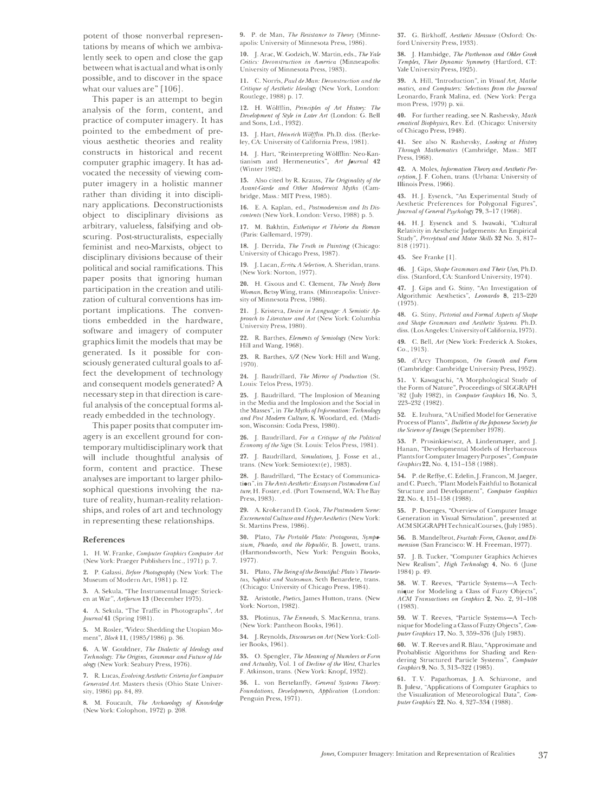potent of those nonverbal representations by means of which we ambivalently seek to open and close the gap between what is actual and what is only possible, and to discover in the space what our values are" [106].

This paper is an attempt to begin analysis of the form, content, and practice of computer imagery. It has pointed to the embedment of previous aesthetic theories and reality constructs in historical and recent computer graphic imagery. It has advocated the necessity of viewing computer imagery in a holistic manner rather than dividing it into disciplinary applications. Deconstructionists object to disciplinary divisions as arbitrary, valueless, falsifying and obscuring. Post-structuralists, especially feminist and neo-Marxists, object to disciplinary divisions because of their political and social ramifications. This paper posits that ignoring human participation in the creation and utilization of cultural conventions has important implications. The conventions embedded in the hardware, software and imagery of computer graphics limit the models that may be generated. Is it possible for consciously generated cultural goals to affect the development of technology and consequent models generated? A necessary step in that direction is careful analysis of the conceptual forms already embedded in the technology.

This paper posits that computer imagery is an excellent ground for contemporary multidisciplinary work that will include thoughtful analysis of form, content and practice. These analyses are important to larger philosophical questions involving the nature of reality, human-reality relationships, and roles of art and technology in representing these relationships.

#### **References**

1. H. W. Franke, *Computer Graphics Computer Art* (New York: Praeger Publishers Inc., 1971) p. 7.

2. P. Galassi, *Before Photography* (New York: The Museum of Modern Art, 1981) p. 12.

**3.** A. Sekula, 'The Instrumental Image: Striecken at War'', *Artfonun* **13** (December 1975).

**4,** A. Sekula, "The Traffic in Photographs", *Art Joumal41* (Spring 1981).

**5,** M. Rosier, 'Video: Shedding the Utopian Moment", *Block* II, (1985/1986) p. 36.

6, A. W. Gouldner, *The Dialectic of Ideology and Technology: The 01igins, Grammar and Future of Ide ology* (New York: Seabury Press, 1976).

7. R. Lucas, *Evolving Aesthetic C,iteria for Computer Generated A1t.* Masters thesis (Ohio State University, 1986) pp. 84, 89.

8. M. Foucault, *The Archaeology of Knowledge* (New York: Colophon, 1972) p. 208.

9. P. de Man, *The Resistance to Theory* (Minneapolis: University of Minnesota Press, 1986).

10. J. Arac, W. Godzich, W. Martin, eds., *The Yale Critics: Deconstruction in America* **(Minneapolis:**  University of Minnesota Press, 1983).

11. C. Norris, Paul de Man: Deconstruction and the *C,itique of Aesthetic Ideology* (New York, London: Routlege, 1988) p. 17.

12. H. Wölfflin, *Principles of Art History: The Development of Style in Later Art* (London: G. Bell and Sons, Ltd., 1932).

**13,** J. Hart, *Heimich Woljjlin.* Ph.D. diss. (Berkeley, CA: University of California Press, 1981).

14. J. Hart, "Reinterpreting Wölfflin: Neo-Kan**tianism and Hermeneutics",** *Art journal* **42** (Winter 1982).

**15,** Also cited by R. Krauss, *Tlw 01iginality of tlw Avant-Garde and Other Modernist Myths* (Cambridge, Mass.: MIT Press, 1985).

**16,** E. A. Kaplan, ed., *Postmodemism and Its Discontents* (New York, London: Verso, 1988) p. 5.

17. M. Bakhtin, *Esthetique et Théorie du Roman* (Paris: Gallemard, 1979).

18. J. Derrida, *The Truth in Painting* (Chicago: University of Chicago Press, 1987).

19. *J. Lacan, Errits: A Selection, A. Sheridan, trans.* (New York: Norton, 1977).

**20. H.** Cixous and C. Clement, *Tlw Newly Born Woman,* **Betsy Wing, trans. (Minneapolis: Univer**sity of Minnesota Press, 1986).

**21.** J. Kristeva, *Desire in Language: A Semiotic Approach to Literature and Art* (New York: Columbia University Press, 1980).

**22.** R. Barthes, *Elements of Semiology* (New York: Hill and Wang, 1968).

23. R. Barthes, *S/Z* (New York: Hill and Wang, 1970).

24, J. Baudrillard, *Tlie* **Mirror** *of Production* (St. Louis: Telos Press, 1975).

25. J. Baudrillard, 'The Implosion of Meaning in the Media and the Implosion and the Social in the Masses", in *The Myths oflnfonnation: Technology and Post Modem Culture,* K. Woodard, ed. (Madison, Wisconsin: Coda Press, 1980).

26. J. Baudrillard, For a Critique of the Political *Economy of the Sign* (St. Louis: Telos Press, 1981).

27, J. Baudrillard, *Simulations,* J. Fosse et al., trans. (New York: Semiotext(e), 1983).

28. J. Baudrillard, "The Ecstacy of Communica**tion", in** *The A nli-Aesthetic: Essays on Postmodern Culture,* H. Foster, ed. (Port Townsend, WA: The Bay Press, 1983).

29. A. Krokerand D. Cook, *The Postmodern Scene: Excremental Culture and Hyper-Aesthetics* (New York: St. Martins Press, 1986).

30. Plato, *The Portable Plato: Protagoras, Sympo*sium, Phaedo, and the Republic, B. Jowett, trans. **(Harmondswonh, New York: Penguin Books,**  1977).

**31.** Plato, *The Being of the Beautiful: Plato's Theaetetus, Sophist and Statesman,* **Seth Benardete, trans.**  (Chicago: University of Chicago Press, 1984).

32, Aristotle, *Poetics,James* Hutton, trans. (New York: Norton, 1982).

33, Plotinus, *The Enneads,* S. MacKenna, trans. (New York: Pantheon Books, 1961).

34. J. Reynolds, *Discourses on Art* (New York: Collier Books, 1961).

35. O. Spengler, *The Meaning of Numbers or Form and Actuality,* Vol. I of *Decline of the West,* Charles F. Atkinson, trans. (New York: Knopf, 1932).

36, L. von Bertelanffy, *General Systems Theory:*  $Foundations, Developments, Application (London:$ Penguin Press, 1971).

**37.** G. Birkhoff, *Aesthetic Measure* (Oxford: Oxford University Press, 1933).

38. J. Hambidge, *The Parthenon and Older Greek Temples, Their Dynamic Symmetry* (Hartford, CT:<br>Yale University Press, 1925).

**39,** A. Hill, "Introduction", in *Visual An, Mathematics, and Computers: Selections from the Journal*  Leonardo, Frank Malina, ed. (New York: Pergamon Press, 1979) p. **xii.** 

40, For further reading, see N. Rashevsky, *Mathematical Biophysics,* Rev. Ed. (Chicago: University of Chicago Press, 1948).

**41.** See also N. Rashevsky, *Looking at Histmy Through Mathematics* (Cambridge, Mass.: MIT Press, 1968).

**42.** A. Moles, *lnfonnation Themy and Aesthetic Pe1° ception,J.* F. Cohen, trans. (Urbana: University of lllinois Press, 1966).

43. H. J. Eysenck, "An Experimental Study of Aesthetic Preferences for Polygonal Figures", *Journal of General Psychology* **79,** 3-17 ( 1968).

**44,** H.J. Eysenck and S. lwawaki, "Cultural Relativity in Aesthetic Judgements: An Empirical Study", *Perceptual and Motor Shills* **32** No. 3, 817- 818 (1971).

**45,** See Franke [I].

46, J. Gips, *Shape Grammars and Their Uses,* Ph.D. diss. (Stanford, CA: Stanford University, 1974).

**47,** J. Gips and G. Stiny, "A.n Investigation of Algorithmic Aesthetics", *Leonardo* **8,** 213-220  $(1975)$ .

48. **G. Stiny, Pictorial and Formal Aspects of Shape** *and Shape Grammars and Aesthetic Systems.* Ph.D. diss. (Los Angeles: University of California, 1975).

**49.** C. Bell, *Art* (New York: Frederick A. Stokes, Co., 1913).

**50.** d'Arcy Thompson, *On Growth and Form*  (Cambridge: Cambridge University Press, 1952).

**51.** Y. Kawaguchi, "A Morphological Study of the Form of Nature", Proceedings of SIGGRAPH '82 Uuly 1982), in *Computer Graphics* **16,** No. 3, 223-232 (1982).

**52.** E. lzuhura, "A Unified Model for Generative Process of Plan ts", *Bulletin of the Japanese Society for the Science of Design* (September 1978).

53. P. Prusinkiewiscz, A. Lindenmayer, and [. Hanan, "Developmental Models of Herbaceous Plants for Computer Imagery Purposes", *Compute,· Graphics* **22,** No. 4, 151-158 (1988).

54. P. de Reffye, C. Edelin, J. Francon, M. Jaeger, and C. Puech, "Plant Models Faithful to Botanical Structure and Development", *Computer Graphics*  **22,** No. 4, 151-158 (1988).

**55.** P. Doenges, "Overview of Computer Image **Generation in Visual Simulation", presented at**  ACM SIGGRAPH Technical Courses, (July 1985).

**56,** B. Mandelbrot, *Fractals: Fonn, Chance, and Dimension* (San Francisco: W. **H.** Freeman, 1977).

57, J. B. Tucker, "Computer Graphics Achieves New Realism", *High Technology* 4, No. 6 (June 1984) p. 49.

**58,** W. T. Reeves, "Particle Systems-A Technique for Modeling a Class of Fuzzy Objects", *ACM Transactions on Graphics* **2,** No. 2, 91-108 (1983).

59, W. T. Reeves, "Particle Systems-A Technique for Modeling a Class ofFuzzy Objects", *Computer Graphics* 17, No. 3, 359-376 (July 1983).

60, W. T. Reeves and R. Blau, "Approximate and Probablistic Algorithms for Shading and Rendering Structured Particle Systems", *Computer Graphics* **9,** No. 3, 313-322 (1985).

**61.** T. V. Papathomas, J. A. Schiavone, and B. Julesz, "Applications of Computer Graphics to the Visualization of Meteorological Data", *Computer Graphics* 22, No. 4, 327-334 (1988).